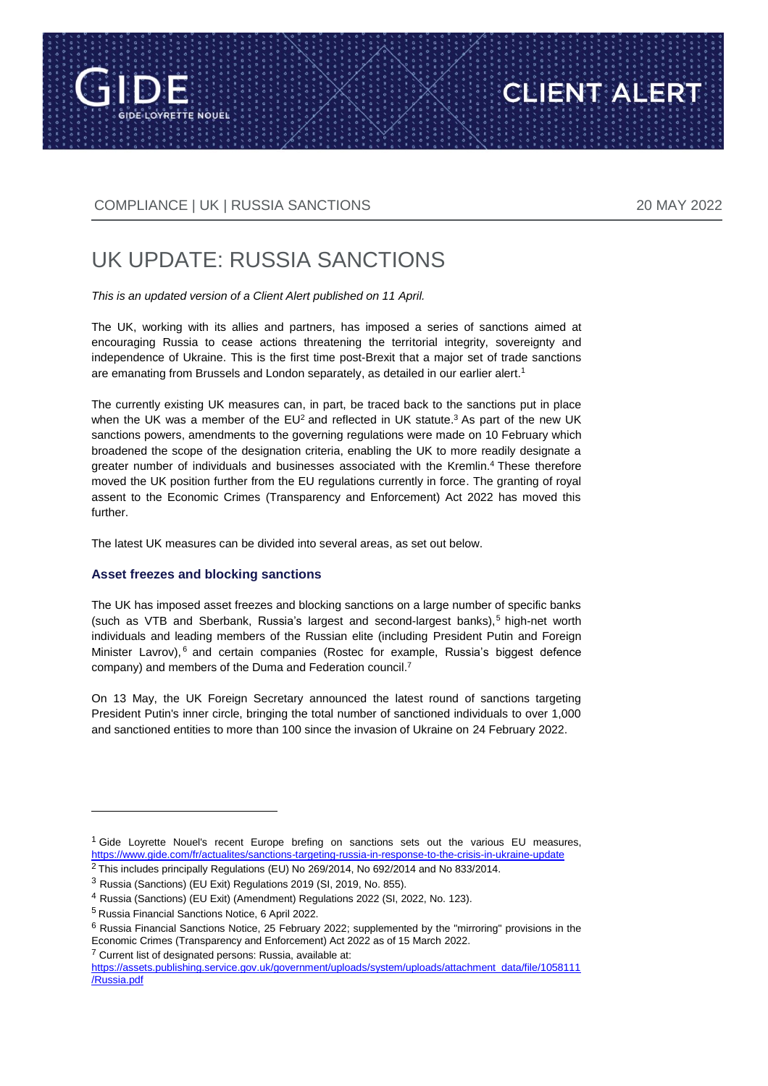

CLIENT ALERT

# UK UPDATE: RUSSIA SANCTIONS

*This is an updated version of a Client Alert published on 11 April.*

The UK, working with its allies and partners, has imposed a series of sanctions aimed at encouraging Russia to cease actions threatening the territorial integrity, sovereignty and independence of Ukraine. This is the first time post-Brexit that a major set of trade sanctions are emanating from Brussels and London separately, as detailed in our earlier alert. 1

The currently existing UK measures can, in part, be traced back to the sanctions put in place when the UK was a member of the EU<sup>2</sup> and reflected in UK statute.<sup>3</sup> As part of the new UK sanctions powers, amendments to the governing regulations were made on 10 February which broadened the scope of the designation criteria, enabling the UK to more readily designate a greater number of individuals and businesses associated with the Kremlin.<sup>4</sup> These therefore moved the UK position further from the EU regulations currently in force. The granting of royal assent to the Economic Crimes (Transparency and Enforcement) Act 2022 has moved this further.

The latest UK measures can be divided into several areas, as set out below.

#### **Asset freezes and blocking sanctions**

The UK has imposed asset freezes and blocking sanctions on a large number of specific banks (such as VTB and Sberbank, Russia's largest and second-largest banks),<sup>5</sup> high-net worth individuals and leading members of the Russian elite (including President Putin and Foreign Minister Lavrov), <sup>6</sup> and certain companies (Rostec for example, Russia's biggest defence company) and members of the Duma and Federation council.<sup>7</sup>

On 13 May, the UK Foreign Secretary announced the latest round of sanctions targeting President Putin's inner circle, bringing the total number of sanctioned individuals to over 1,000 and sanctioned entities to more than 100 since the invasion of Ukraine on 24 February 2022.

 $\overline{a}$ 

<sup>7</sup> Current list of designated persons: Russia, available at:

<sup>1</sup> Gide Loyrette Nouel's recent Europe brefing on sanctions sets out the various EU measures, <https://www.gide.com/fr/actualites/sanctions-targeting-russia-in-response-to-the-crisis-in-ukraine-update>

<sup>&</sup>lt;sup>2</sup> This includes principally Regulations (EU) No 269/2014, No 692/2014 and No 833/2014.

<sup>3</sup> Russia (Sanctions) (EU Exit) Regulations 2019 (SI, 2019, No. 855).

<sup>4</sup> Russia (Sanctions) (EU Exit) (Amendment) Regulations 2022 (SI, 2022, No. 123).

<sup>5</sup> [Russia Financial Sanctions Notice, 6 April](https://assets.publishing.service.gov.uk/government/uploads/system/uploads/attachment_data/file/1057264/Notice_Russia_240222.pdf) 2022.

<sup>6</sup> [Russia Financial Sanctions Notice, 25 February 2022;](https://assets.publishing.service.gov.uk/government/uploads/system/uploads/attachment_data/file/1057547/Notice_Russia_250222.pdf) supplemented by the "mirroring" provisions in the Economic Crimes (Transparency and Enforcement) Act 2022 as of 15 March 2022.

[https://assets.publishing.service.gov.uk/government/uploads/system/uploads/attachment\\_data/file/1058111](https://assets.publishing.service.gov.uk/government/uploads/system/uploads/attachment_data/file/1058111/Russia.pdf) [/Russia.pdf](https://assets.publishing.service.gov.uk/government/uploads/system/uploads/attachment_data/file/1058111/Russia.pdf)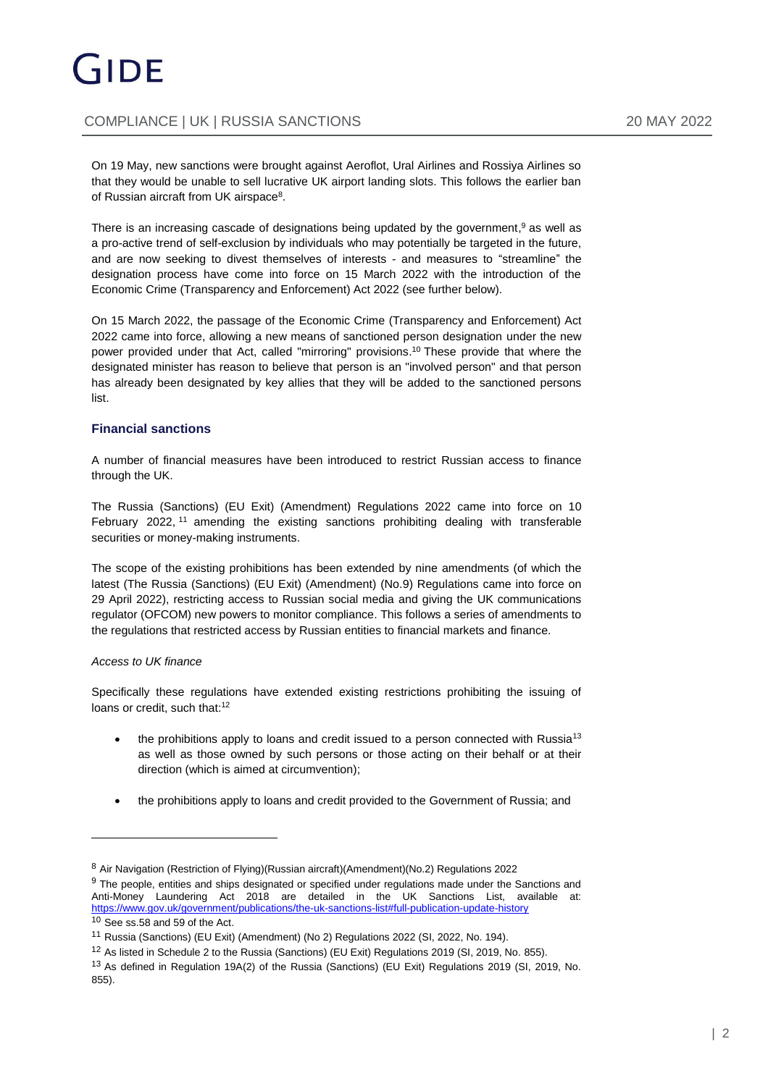On 19 May, new sanctions were brought against Aeroflot, Ural Airlines and Rossiya Airlines so that they would be unable to sell lucrative UK airport landing slots. This follows the earlier ban of Russian aircraft from UK airspace<sup>8</sup>.

There is an increasing cascade of designations being updated by the government, <sup>9</sup> as well as a pro-active trend of self-exclusion by individuals who may potentially be targeted in the future, and are now seeking to divest themselves of interests - and measures to "streamline" the designation process have come into force on 15 March 2022 with the introduction of the Economic Crime (Transparency and Enforcement) Act 2022 (see further below).

On 15 March 2022, the passage of the Economic Crime (Transparency and Enforcement) Act 2022 came into force, allowing a new means of sanctioned person designation under the new power provided under that Act, called "mirroring" provisions. <sup>10</sup> These provide that where the designated minister has reason to believe that person is an "involved person" and that person has already been designated by key allies that they will be added to the sanctioned persons list.

#### **Financial sanctions**

A number of financial measures have been introduced to restrict Russian access to finance through the UK.

The Russia (Sanctions) (EU Exit) (Amendment) Regulations 2022 came into force on 10 February 2022, <sup>11</sup> amending the existing sanctions prohibiting dealing with transferable securities or money-making instruments.

The scope of the existing prohibitions has been extended by nine amendments (of which the latest (The Russia (Sanctions) (EU Exit) (Amendment) (No.9) Regulations came into force on 29 April 2022), restricting access to Russian social media and giving the UK communications regulator (OFCOM) new powers to monitor compliance. This follows a series of amendments to the regulations that restricted access by Russian entities to financial markets and finance.

#### *Access to UK finance*

 $\overline{a}$ 

Specifically these regulations have extended existing restrictions prohibiting the issuing of loans or credit, such that:<sup>12</sup>

- the prohibitions apply to loans and credit issued to a person connected with Russia<sup>13</sup> as well as those owned by such persons or those acting on their behalf or at their direction (which is aimed at circumvention);
- the prohibitions apply to loans and credit provided to the Government of Russia; and

<sup>8</sup> Air Navigation (Restriction of Flying)(Russian aircraft)(Amendment)(No.2) Regulations 2022

<sup>9</sup> The people, entities and ships designated or specified under regulations made under the Sanctions and Anti-Money Laundering Act 2018 are detailed in the UK Sanctions List, available at: <https://www.gov.uk/government/publications/the-uk-sanctions-list#full-publication-update-history>  $10$  See ss.58 and 59 of the Act.

<sup>11</sup> Russia (Sanctions) (EU Exit) (Amendment) (No 2) Regulations 2022 (SI, 2022, No. 194).

<sup>12</sup> As listed in Schedule 2 to the Russia (Sanctions) (EU Exit) Regulations 2019 (SI, 2019, No. 855).

<sup>13</sup> As defined in Regulation 19A(2) of the Russia (Sanctions) (EU Exit) Regulations 2019 (SI, 2019, No. 855).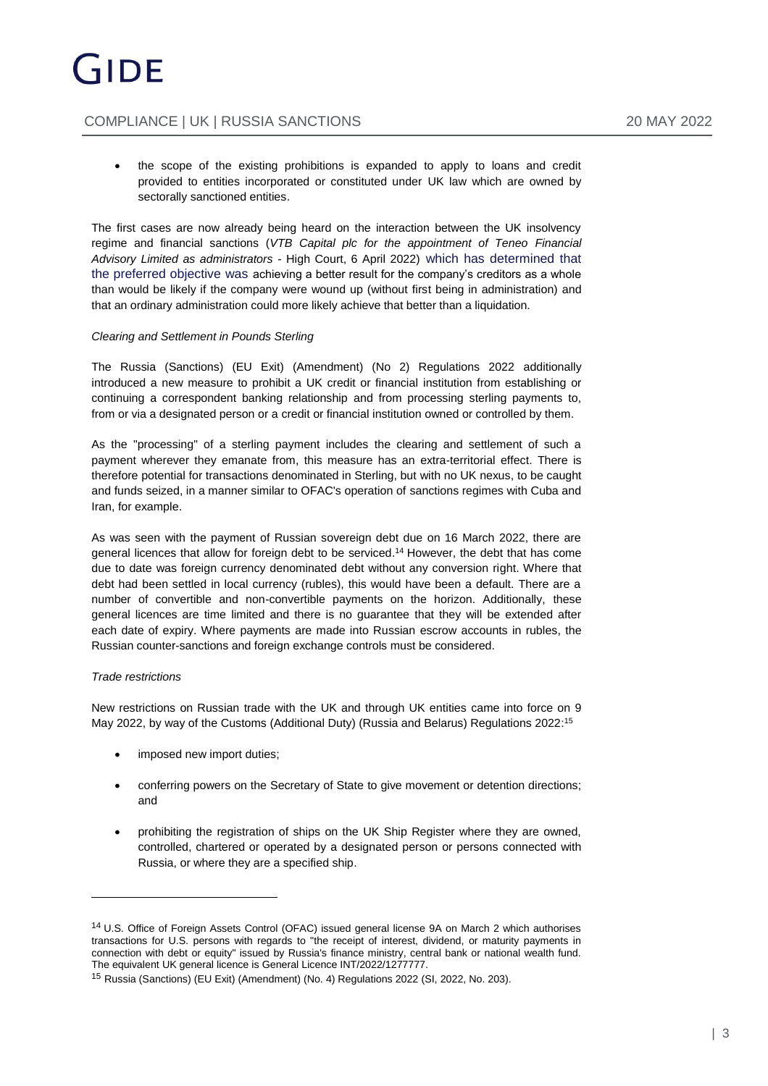the scope of the existing prohibitions is expanded to apply to loans and credit provided to entities incorporated or constituted under UK law which are owned by sectorally sanctioned entities.

The first cases are now already being heard on the interaction between the UK insolvency regime and financial sanctions (*VTB Capital plc for the appointment of Teneo Financial Advisory Limited as administrators* - High Court, 6 April 2022) which has determined that the preferred objective was achieving a better result for the company's creditors as a whole than would be likely if the company were wound up (without first being in administration) and that an ordinary administration could more likely achieve that better than a liquidation.

#### *Clearing and Settlement in Pounds Sterling*

The Russia (Sanctions) (EU Exit) (Amendment) (No 2) Regulations 2022 additionally introduced a new measure to prohibit a UK credit or financial institution from establishing or continuing a correspondent banking relationship and from processing sterling payments to, from or via a designated person or a credit or financial institution owned or controlled by them.

As the "processing" of a sterling payment includes the clearing and settlement of such a payment wherever they emanate from, this measure has an extra-territorial effect. There is therefore potential for transactions denominated in Sterling, but with no UK nexus, to be caught and funds seized, in a manner similar to OFAC's operation of sanctions regimes with Cuba and Iran, for example.

As was seen with the payment of Russian sovereign debt due on 16 March 2022, there are general licences that allow for foreign debt to be serviced. <sup>14</sup> However, the debt that has come due to date was foreign currency denominated debt without any conversion right. Where that debt had been settled in local currency (rubles), this would have been a default. There are a number of convertible and non-convertible payments on the horizon. Additionally, these general licences are time limited and there is no guarantee that they will be extended after each date of expiry. Where payments are made into Russian escrow accounts in rubles, the Russian counter-sanctions and foreign exchange controls must be considered.

#### *Trade restrictions*

New restrictions on Russian trade with the UK and through UK entities came into force on 9 May 2022, by way of the Customs (Additional Duty) (Russia and Belarus) Regulations 2022: 15

- imposed new import duties;
- conferring powers on the Secretary of State to give movement or detention directions; and
- prohibiting the registration of ships on the UK Ship Register where they are owned, controlled, chartered or operated by a designated person or persons connected with Russia, or where they are a specified ship.

<sup>14</sup> U.S. Office of Foreign Assets Control (OFAC) issued general license 9A on March 2 which authorises transactions for U.S. persons with regards to "the receipt of interest, dividend, or maturity payments in connection with debt or equity" issued by Russia's finance ministry, central bank or national wealth fund. The equivalent UK general licence is General Licence INT/2022/1277777.

<sup>15</sup> Russia (Sanctions) (EU Exit) (Amendment) (No. 4) Regulations 2022 (SI, 2022, No. 203).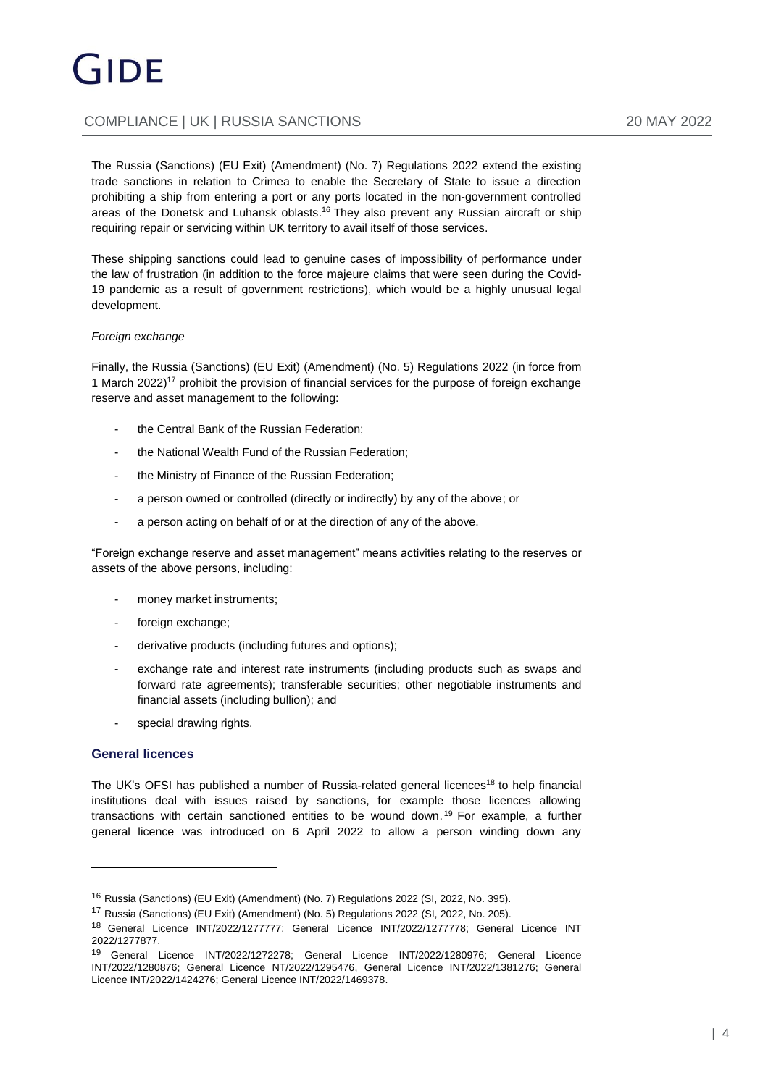The Russia (Sanctions) (EU Exit) (Amendment) (No. 7) Regulations 2022 extend the existing trade sanctions in relation to Crimea to enable the Secretary of State to issue a direction prohibiting a ship from entering a port or any ports located in the non-government controlled areas of the Donetsk and Luhansk oblasts. <sup>16</sup> They also prevent any Russian aircraft or ship requiring repair or servicing within UK territory to avail itself of those services.

These shipping sanctions could lead to genuine cases of impossibility of performance under the law of frustration (in addition to the force majeure claims that were seen during the Covid-19 pandemic as a result of government restrictions), which would be a highly unusual legal development.

#### *Foreign exchange*

Finally, the Russia (Sanctions) (EU Exit) (Amendment) (No. 5) Regulations 2022 (in force from 1 March 2022)<sup>17</sup> prohibit the provision of financial services for the purpose of foreign exchange reserve and asset management to the following:

- the Central Bank of the Russian Federation;
- the National Wealth Fund of the Russian Federation;
- the Ministry of Finance of the Russian Federation;
- a person owned or controlled (directly or indirectly) by any of the above; or
- a person acting on behalf of or at the direction of any of the above.

"Foreign exchange reserve and asset management" means activities relating to the reserves or assets of the above persons, including:

- money market instruments;
- foreign exchange;
- derivative products (including futures and options);
- exchange rate and interest rate instruments (including products such as swaps and forward rate agreements); transferable securities; other negotiable instruments and financial assets (including bullion); and
- special drawing rights.

#### **General licences**

The UK's OFSI has published a number of Russia-related general licences<sup>18</sup> to help financial institutions deal with issues raised by sanctions, for example those licences allowing transactions with certain sanctioned entities to be wound down. <sup>19</sup> For example, a further general licence was introduced on 6 April 2022 to allow a person winding down any

<sup>16</sup> Russia (Sanctions) (EU Exit) (Amendment) (No. 7) Regulations 2022 (SI, 2022, No. 395).

<sup>17</sup> Russia (Sanctions) (EU Exit) (Amendment) (No. 5) Regulations 2022 (SI, 2022, No. 205).

<sup>18</sup> General Licence INT/2022/1277777; General Licence INT/2022/1277778; General Licence INT 2022/1277877.

<sup>19</sup> General Licence INT/2022/1272278; General Licence INT/2022/1280976; General Licence INT/2022/1280876; General Licence NT/2022/1295476, General Licence INT/2022/1381276; General Licence INT/2022/1424276; General Licence INT/2022/1469378.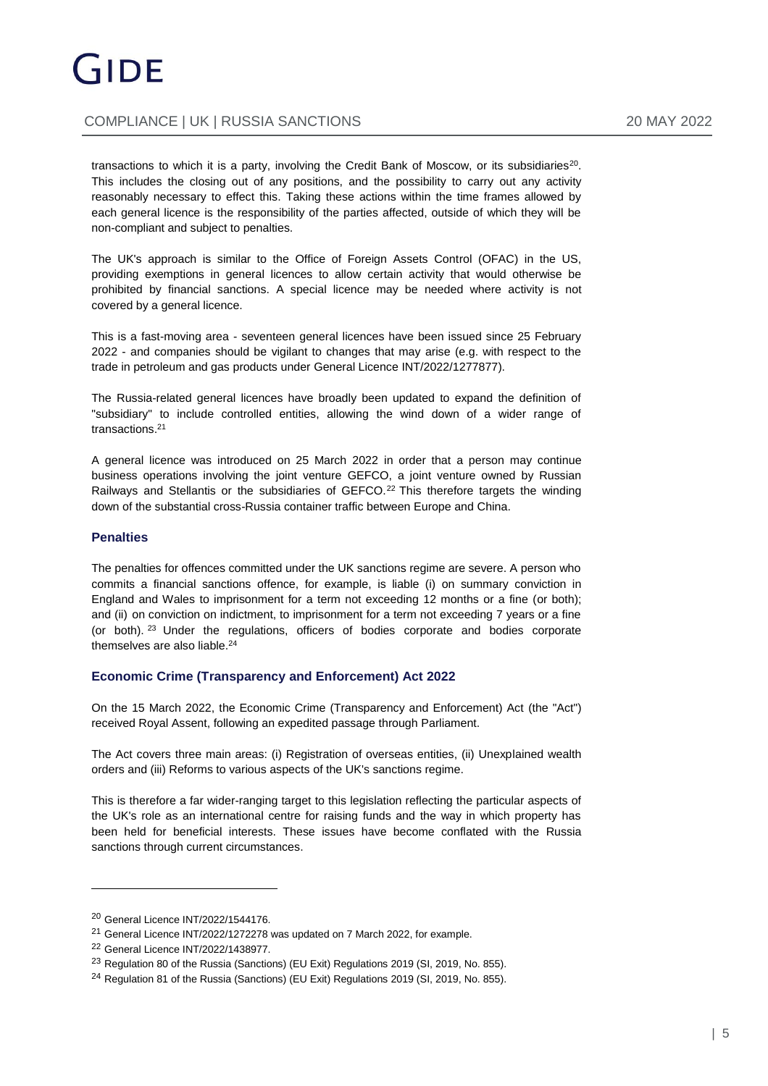transactions to which it is a party, involving the Credit Bank of Moscow, or its subsidiaries $^{20}$ . This includes the closing out of any positions, and the possibility to carry out any activity reasonably necessary to effect this. Taking these actions within the time frames allowed by each general licence is the responsibility of the parties affected, outside of which they will be non-compliant and subject to penalties.

The UK's approach is similar to the Office of Foreign Assets Control (OFAC) in the US, providing exemptions in general licences to allow certain activity that would otherwise be prohibited by financial sanctions. A special licence may be needed where activity is not covered by a general licence.

This is a fast-moving area - seventeen general licences have been issued since 25 February 2022 - and companies should be vigilant to changes that may arise (e.g. with respect to the trade in petroleum and gas products under General Licence INT/2022/1277877).

The Russia-related general licences have broadly been updated to expand the definition of "subsidiary" to include controlled entities, allowing the wind down of a wider range of transactions.<sup>21</sup>

A general licence was introduced on 25 March 2022 in order that a person may continue business operations involving the joint venture GEFCO, a joint venture owned by Russian Railways and Stellantis or the subsidiaries of GEFCO.<sup>22</sup> This therefore targets the winding down of the substantial cross-Russia container traffic between Europe and China.

#### **Penalties**

The penalties for offences committed under the UK sanctions regime are severe. A person who commits a financial sanctions offence, for example, is liable (i) on summary conviction in England and Wales to imprisonment for a term not exceeding 12 months or a fine (or both); and (ii) on conviction on indictment, to imprisonment for a term not exceeding 7 years or a fine (or both). <sup>23</sup> Under the regulations, officers of bodies corporate and bodies corporate themselves are also liable.<sup>24</sup>

#### **Economic Crime (Transparency and Enforcement) Act 2022**

On the 15 March 2022, the Economic Crime (Transparency and Enforcement) Act (the "Act") received Royal Assent, following an expedited passage through Parliament.

The Act covers three main areas: (i) Registration of overseas entities, (ii) Unexplained wealth orders and (iii) Reforms to various aspects of the UK's sanctions regime.

This is therefore a far wider-ranging target to this legislation reflecting the particular aspects of the UK's role as an international centre for raising funds and the way in which property has been held for beneficial interests. These issues have become conflated with the Russia sanctions through current circumstances.

<sup>20</sup> General Licence INT/2022/1544176.

<sup>&</sup>lt;sup>21</sup> General Licence INT/2022/1272278 was updated on 7 March 2022, for example.

<sup>22</sup> General Licence INT/2022/1438977.

<sup>&</sup>lt;sup>23</sup> Regulation 80 of the Russia (Sanctions) (EU Exit) Regulations 2019 (SI, 2019, No. 855).

<sup>&</sup>lt;sup>24</sup> Regulation 81 of the Russia (Sanctions) (EU Exit) Regulations 2019 (SI, 2019, No. 855).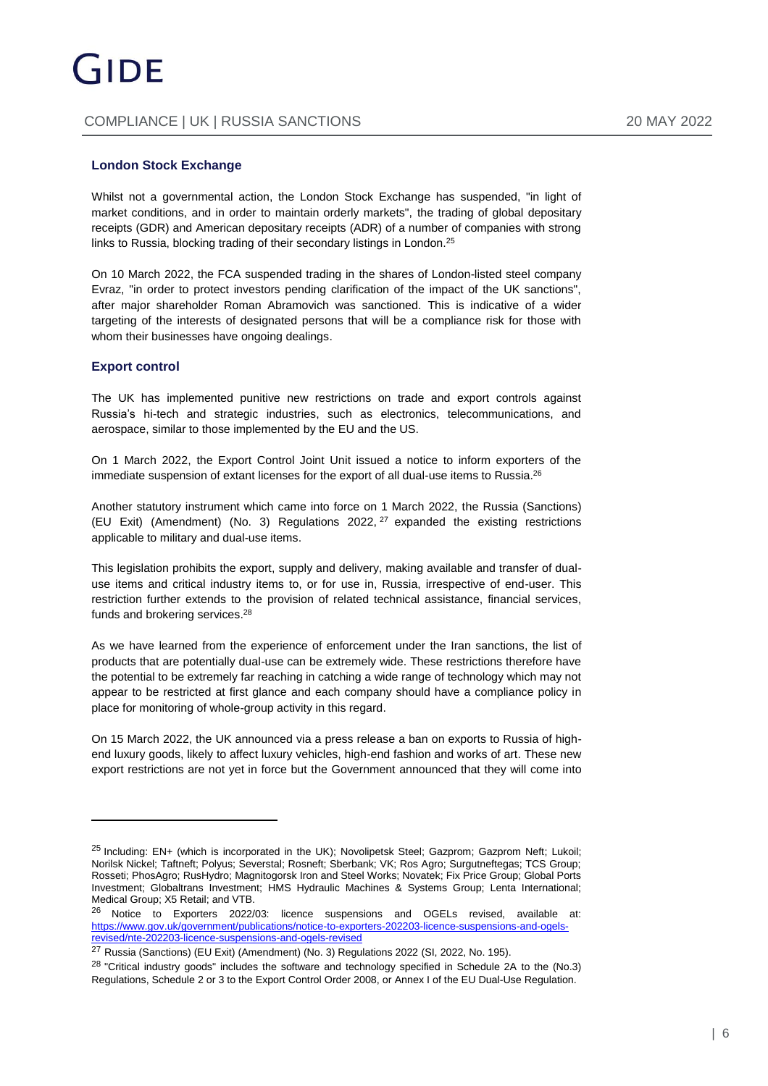#### **London Stock Exchange**

Whilst not a governmental action, the London Stock Exchange has suspended, "in light of market conditions, and in order to maintain orderly markets", the trading of global depositary receipts (GDR) and American depositary receipts (ADR) of a number of companies with strong links to Russia, blocking trading of their secondary listings in London.<sup>25</sup>

On 10 March 2022, the FCA suspended trading in the shares of London-listed steel company Evraz, "in order to protect investors pending clarification of the impact of the UK sanctions", after major shareholder Roman Abramovich was sanctioned. This is indicative of a wider targeting of the interests of designated persons that will be a compliance risk for those with whom their businesses have ongoing dealings.

#### **Export control**

The UK has implemented punitive new restrictions on trade and export controls against Russia's hi-tech and strategic industries, such as electronics, telecommunications, and aerospace, similar to those implemented by the EU and the US.

On 1 March 2022, the Export Control Joint Unit issued a notice to inform exporters of the immediate suspension of extant licenses for the export of all dual-use items to Russia.<sup>26</sup>

Another statutory instrument which came into force on 1 March 2022, the Russia (Sanctions) (EU Exit) (Amendment) (No. 3) Regulations 2022,  $27$  expanded the existing restrictions applicable to military and dual-use items.

This legislation prohibits the export, supply and delivery, making available and transfer of dualuse items and critical industry items to, or for use in, Russia, irrespective of end-user. This restriction further extends to the provision of related technical assistance, financial services, funds and brokering services.<sup>28</sup>

As we have learned from the experience of enforcement under the Iran sanctions, the list of products that are potentially dual-use can be extremely wide. These restrictions therefore have the potential to be extremely far reaching in catching a wide range of technology which may not appear to be restricted at first glance and each company should have a compliance policy in place for monitoring of whole-group activity in this regard.

On 15 March 2022, the UK announced via a press release a ban on exports to Russia of highend luxury goods, likely to affect luxury vehicles, high-end fashion and works of art. These new export restrictions are not yet in force but the Government announced that they will come into

 $^{25}$  Including: EN+ (which is incorporated in the UK); Novolipetsk Steel; Gazprom; Gazprom Neft; Lukoil; Norilsk Nickel; Taftneft; Polyus; Severstal; Rosneft; Sberbank; VK; Ros Agro; Surgutneftegas; TCS Group; Rosseti; PhosAgro; RusHydro; Magnitogorsk Iron and Steel Works; Novatek; Fix Price Group; Global Ports Investment; Globaltrans Investment; HMS Hydraulic Machines & Systems Group; Lenta International; Medical Group; X5 Retail; and VTB.

<sup>26</sup> Notice to Exporters 2022/03: licence suspensions and OGELs revised, available at: [https://www.gov.uk/government/publications/notice-to-exporters-202203-licence-suspensions-and-ogels](https://www.gov.uk/government/publications/notice-to-exporters-202203-licence-suspensions-and-ogels-revised/nte-202203-licence-suspensions-and-ogels-revised)[revised/nte-202203-licence-suspensions-and-ogels-revised](https://www.gov.uk/government/publications/notice-to-exporters-202203-licence-suspensions-and-ogels-revised/nte-202203-licence-suspensions-and-ogels-revised)

<sup>&</sup>lt;sup>27</sup> Russia (Sanctions) (EU Exit) (Amendment) (No. 3) Regulations 2022 (SI, 2022, No. 195).

<sup>&</sup>lt;sup>28</sup> "Critical industry goods" includes the software and technology specified in Schedule 2A to the (No.3) Regulations, Schedule 2 or 3 to the Export Control Order 2008, or Annex I of the EU Dual-Use Regulation.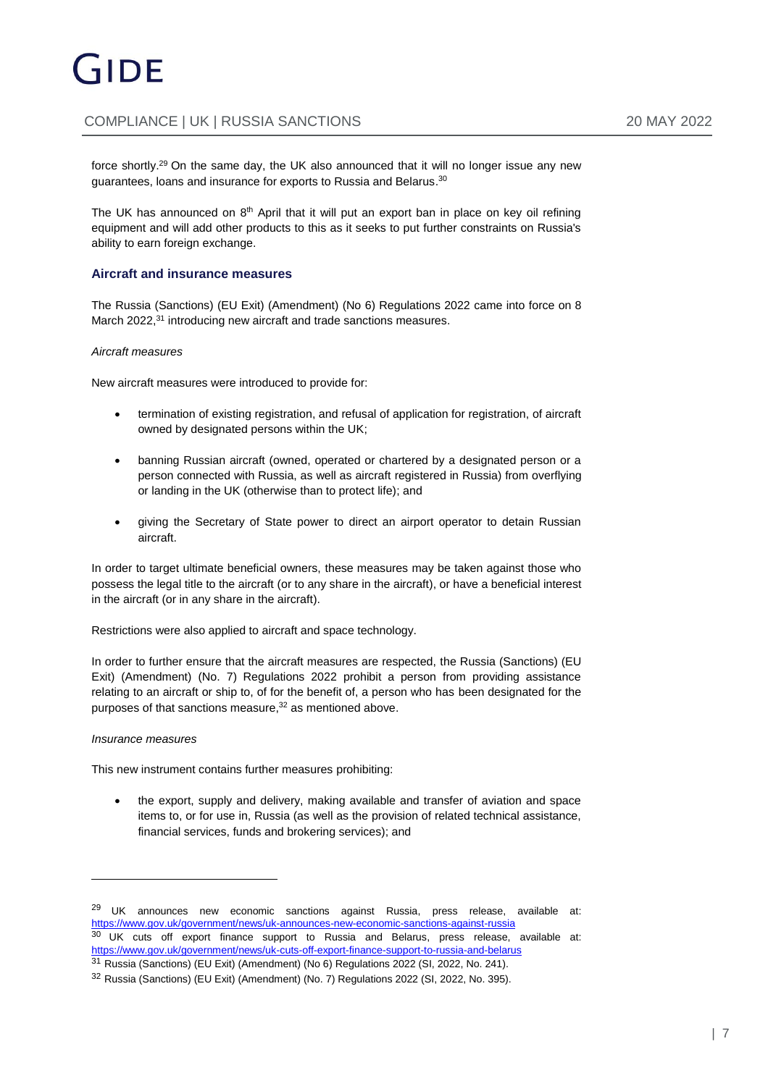force shortly.<sup>29</sup> On the same day, the UK also announced that it will no longer issue any new guarantees, loans and insurance for exports to Russia and Belarus. 30

The UK has announced on  $8<sup>th</sup>$  April that it will put an export ban in place on key oil refining equipment and will add other products to this as it seeks to put further constraints on Russia's ability to earn foreign exchange.

#### **Aircraft and insurance measures**

The Russia (Sanctions) (EU Exit) (Amendment) (No 6) Regulations 2022 came into force on 8 March 2022,<sup>31</sup> introducing new aircraft and trade sanctions measures.

#### *Aircraft measures*

New aircraft measures were introduced to provide for:

- termination of existing registration, and refusal of application for registration, of aircraft owned by designated persons within the UK;
- banning Russian aircraft (owned, operated or chartered by a designated person or a person connected with Russia, as well as aircraft registered in Russia) from overflying or landing in the UK (otherwise than to protect life); and
- giving the Secretary of State power to direct an airport operator to detain Russian aircraft.

In order to target ultimate beneficial owners, these measures may be taken against those who possess the legal title to the aircraft (or to any share in the aircraft), or have a beneficial interest in the aircraft (or in any share in the aircraft).

Restrictions were also applied to aircraft and space technology.

In order to further ensure that the aircraft measures are respected, the Russia (Sanctions) (EU Exit) (Amendment) (No. 7) Regulations 2022 prohibit a person from providing assistance relating to an aircraft or ship to, of for the benefit of, a person who has been designated for the purposes of that sanctions measure, <sup>32</sup> as mentioned above.

#### *Insurance measures*

 $\overline{a}$ 

This new instrument contains further measures prohibiting:

 the export, supply and delivery, making available and transfer of aviation and space items to, or for use in, Russia (as well as the provision of related technical assistance, financial services, funds and brokering services); and

<sup>30</sup> UK cuts off export finance support to Russia and Belarus, press release, available at: <https://www.gov.uk/government/news/uk-cuts-off-export-finance-support-to-russia-and-belarus>

 $29$  UK announces new economic sanctions against Russia, press release, available at: <https://www.gov.uk/government/news/uk-announces-new-economic-sanctions-against-russia>

<sup>31</sup> Russia (Sanctions) (EU Exit) (Amendment) (No 6) Regulations 2022 (SI, 2022, No. 241).

<sup>32</sup> Russia (Sanctions) (EU Exit) (Amendment) (No. 7) Regulations 2022 (SI, 2022, No. 395).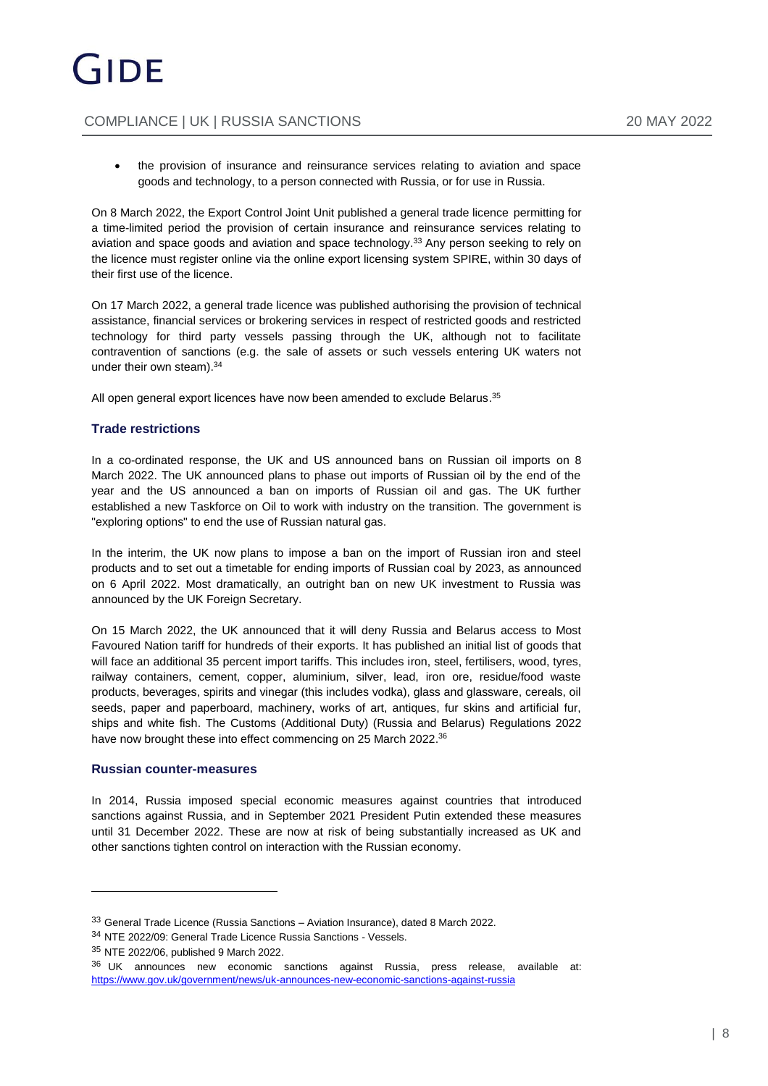the provision of insurance and reinsurance services relating to aviation and space goods and technology, to a person connected with Russia, or for use in Russia.

On 8 March 2022, the Export Control Joint Unit published a general trade licence permitting for a time-limited period the provision of certain insurance and reinsurance services relating to aviation and space goods and aviation and space technology. <sup>33</sup> Any person seeking to rely on the licence must register online via the online export licensing system SPIRE, within 30 days of their first use of the licence.

On 17 March 2022, a general trade licence was published authorising the provision of technical assistance, financial services or brokering services in respect of restricted goods and restricted technology for third party vessels passing through the UK, although not to facilitate contravention of sanctions (e.g. the sale of assets or such vessels entering UK waters not under their own steam). 34

All open general export licences have now been amended to exclude Belarus. 35

#### **Trade restrictions**

In a co-ordinated response, the UK and US announced bans on Russian oil imports on 8 March 2022. The UK announced plans to phase out imports of Russian oil by the end of the year and the US announced a ban on imports of Russian oil and gas. The UK further established a new Taskforce on Oil to work with industry on the transition. The government is "exploring options" to end the use of Russian natural gas.

In the interim, the UK now plans to impose a ban on the import of Russian iron and steel products and to set out a timetable for ending imports of Russian coal by 2023, as announced on 6 April 2022. Most dramatically, an outright ban on new UK investment to Russia was announced by the UK Foreign Secretary.

On 15 March 2022, the UK announced that it will deny Russia and Belarus access to Most Favoured Nation tariff for hundreds of their exports. It has published an initial list of goods that will face an additional 35 percent import tariffs. This includes iron, steel, fertilisers, wood, tyres, railway containers, cement, copper, aluminium, silver, lead, iron ore, residue/food waste products, beverages, spirits and vinegar (this includes vodka), glass and glassware, cereals, oil seeds, paper and paperboard, machinery, works of art, antiques, fur skins and artificial fur, ships and white fish. The Customs (Additional Duty) (Russia and Belarus) Regulations 2022 have now brought these into effect commencing on 25 March 2022.<sup>36</sup>

#### **Russian counter-measures**

In 2014, Russia imposed special economic measures against countries that introduced sanctions against Russia, and in September 2021 President Putin extended these measures until 31 December 2022. These are now at risk of being substantially increased as UK and other sanctions tighten control on interaction with the Russian economy.

<sup>33</sup> General Trade Licence (Russia Sanctions – Aviation Insurance), dated 8 March 2022.

<sup>34</sup> NTE 2022/09: General Trade Licence Russia Sanctions - Vessels.

<sup>35</sup> NTE 2022/06, published 9 March 2022.

<sup>36</sup> UK announces new economic sanctions against Russia, press release, available at: <https://www.gov.uk/government/news/uk-announces-new-economic-sanctions-against-russia>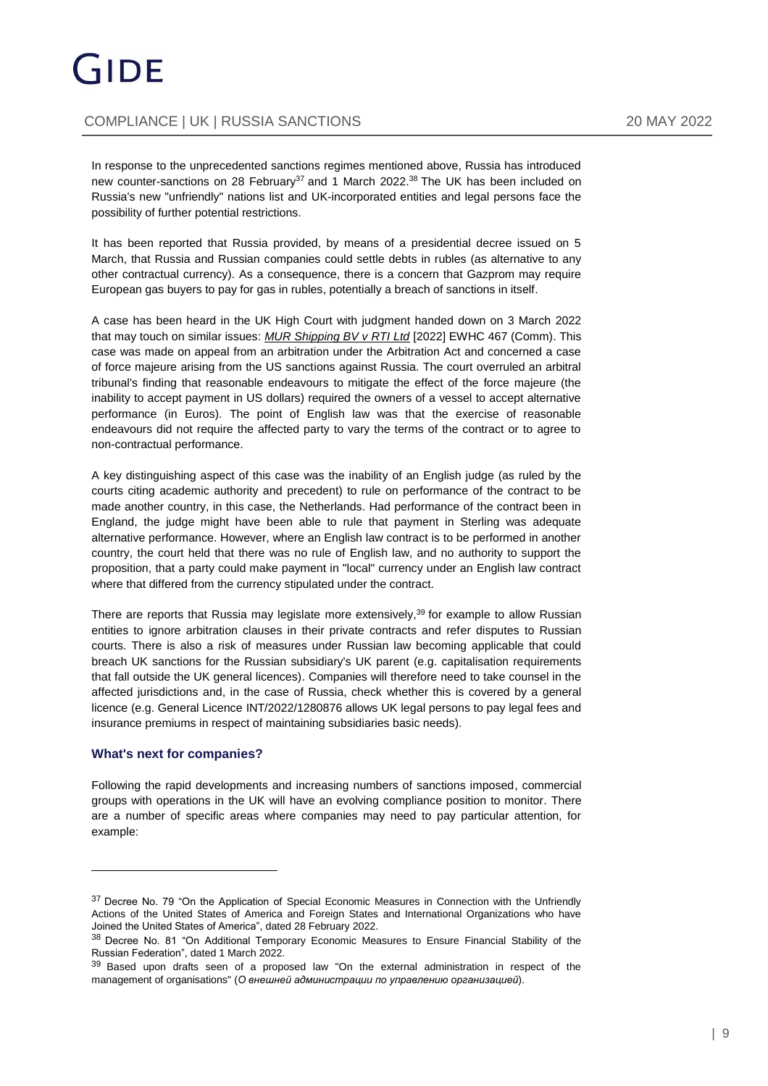# GIDE

# COMPLIANCE | UK | RUSSIA SANCTIONS 20 MAY 2022

In response to the unprecedented sanctions regimes mentioned above, Russia has introduced new counter-sanctions on 28 February<sup>37</sup> and 1 March 2022.<sup>38</sup> The UK has been included on Russia's new "unfriendly" nations list and UK-incorporated entities and legal persons face the possibility of further potential restrictions.

It has been reported that Russia provided, by means of a presidential decree issued on 5 March, that Russia and Russian companies could settle debts in rubles (as alternative to any other contractual currency). As a consequence, there is a concern that Gazprom may require European gas buyers to pay for gas in rubles, potentially a breach of sanctions in itself.

A case has been heard in the UK High Court with judgment handed down on 3 March 2022 that may touch on similar issues: *MUR Shipping BV v RTI Ltd* [2022] EWHC 467 (Comm). This case was made on appeal from an arbitration under the Arbitration Act and concerned a case of force majeure arising from the US sanctions against Russia. The court overruled an arbitral tribunal's finding that reasonable endeavours to mitigate the effect of the force majeure (the inability to accept payment in US dollars) required the owners of a vessel to accept alternative performance (in Euros). The point of English law was that the exercise of reasonable endeavours did not require the affected party to vary the terms of the contract or to agree to non-contractual performance.

A key distinguishing aspect of this case was the inability of an English judge (as ruled by the courts citing academic authority and precedent) to rule on performance of the contract to be made another country, in this case, the Netherlands. Had performance of the contract been in England, the judge might have been able to rule that payment in Sterling was adequate alternative performance. However, where an English law contract is to be performed in another country, the court held that there was no rule of English law, and no authority to support the proposition, that a party could make payment in "local" currency under an English law contract where that differed from the currency stipulated under the contract.

There are reports that Russia may legislate more extensively,<sup>39</sup> for example to allow Russian entities to ignore arbitration clauses in their private contracts and refer disputes to Russian courts. There is also a risk of measures under Russian law becoming applicable that could breach UK sanctions for the Russian subsidiary's UK parent (e.g. capitalisation requirements that fall outside the UK general licences). Companies will therefore need to take counsel in the affected jurisdictions and, in the case of Russia, check whether this is covered by a general licence (e.g. General Licence INT/2022/1280876 allows UK legal persons to pay legal fees and insurance premiums in respect of maintaining subsidiaries basic needs).

#### **What's next for companies?**

Following the rapid developments and increasing numbers of sanctions imposed, commercial groups with operations in the UK will have an evolving compliance position to monitor. There are a number of specific areas where companies may need to pay particular attention, for example:

<sup>&</sup>lt;sup>37</sup> Decree No. 79 "On the Application of Special Economic Measures in Connection with the Unfriendly Actions of the United States of America and Foreign States and International Organizations who have Joined the United States of America", dated 28 February 2022.

<sup>38</sup> Decree No. 81 "On Additional Temporary Economic Measures to Ensure Financial Stability of the Russian Federation", dated 1 March 2022.

<sup>&</sup>lt;sup>39</sup> Based upon drafts seen of a proposed law "On the external administration in respect of the management of organisations" (*О внешней администрации по управлению организацией*).